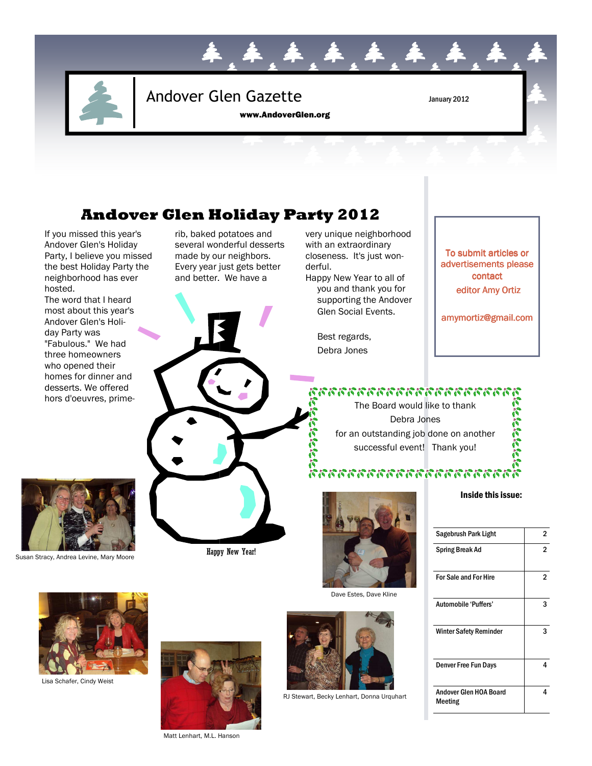

# Andover Glen Gazette January 2012

www.AndoverGlen.org

## **Andover Glen Holiday Party 2012**

If you missed this year's Andover Glen's Holiday Party, I believe you missed the best Holiday Party the neighborhood has ever hosted.

The word that I heard most about this year's Andover Glen's Holiday Party was "Fabulous." We had three homeowners who opened their homes for dinner and desserts. We offered hors d'oeuvres, primerib, baked potatoes and several wonderful desserts made by our neighbors. Every year just gets better and better. We have a

Happy New Year!



very unique neighborhood with an extraordinary closeness. It's just won-

Happy New Year to all of you and thank you for supporting the Andover Glen Social Events.

> Best regards, Debra Jones

derful.



RJ Stewart, Becky Lenhart, Donna Urquhart

## To submit articles or advertisements please contact editor Amy Ortiz

amymortiz@gmail.com

## าวการการการการการการก

The Board would like to thank Debra Jones for an outstanding job done on another successful event! Thank you!



Dave Estes, Dave Kline



#### Inside this issue:

| Sagebrush Park Light              | 2 |
|-----------------------------------|---|
| Spring Break Ad                   | 2 |
| <b>For Sale and For Hire</b>      | 2 |
| Automobile 'Puffers'              | з |
| <b>Winter Safety Reminder</b>     | ર |
| <b>Denver Free Fun Days</b>       | Δ |
| Andover Glen HOA Board<br>Meeting | 4 |



Susan Stracy, Andrea Levine, Mary Moore



Lisa Schafer, Cindy Weist



Matt Lenhart, M.L. Hanson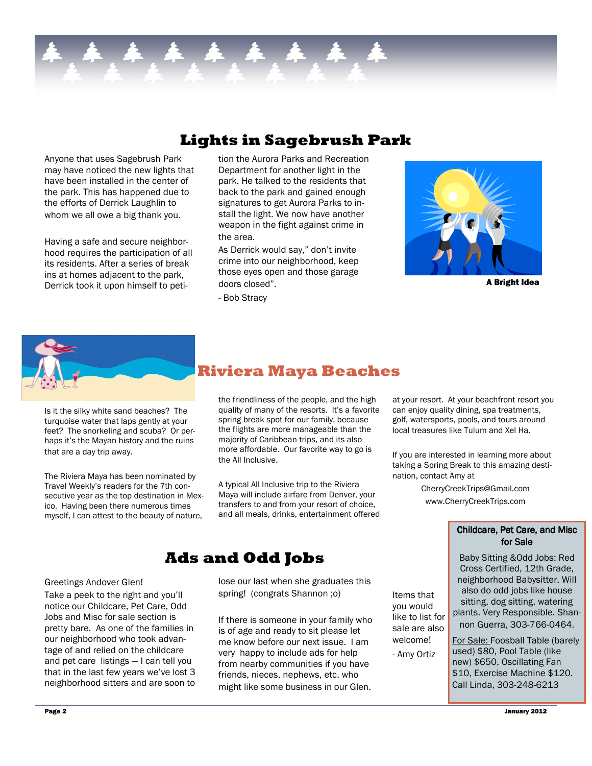## **Lights in Sagebrush Park**

Anyone that uses Sagebrush Park may have noticed the new lights that have been installed in the center of the park. This has happened due to the efforts of Derrick Laughlin to whom we all owe a big thank you.

Having a safe and secure neighborhood requires the participation of all its residents. After a series of break ins at homes adjacent to the park, Derrick took it upon himself to peti-

tion the Aurora Parks and Recreation Department for another light in the park. He talked to the residents that back to the park and gained enough signatures to get Aurora Parks to install the light. We now have another weapon in the fight against crime in the area.

As Derrick would say," don't invite crime into our neighborhood, keep those eyes open and those garage doors closed".

- Bob Stracy



A Bright Idea



Is it the silky white sand beaches? The turquoise water that laps gently at your feet? The snorkeling and scuba? Or perhaps it's the Mayan history and the ruins that are a day trip away.

The Riviera Maya has been nominated by Travel Weekly's readers for the 7th consecutive year as the top destination in Mexico. Having been there numerous times myself, I can attest to the beauty of nature,

## **Riviera Maya Beaches**

the friendliness of the people, and the high quality of many of the resorts. It's a favorite spring break spot for our family, because the flights are more manageable than the majority of Caribbean trips, and its also more affordable. Our favorite way to go is the All Inclusive.

A typical All Inclusive trip to the Riviera Maya will include airfare from Denver, your transfers to and from your resort of choice, and all meals, drinks, entertainment offered

## **Ads and Odd Jobs**

#### Greetings Andover Glen!

Take a peek to the right and you'll notice our Childcare, Pet Care, Odd Jobs and Misc for sale section is pretty bare. As one of the families in our neighborhood who took advantage of and relied on the childcare and pet care listings — I can tell you that in the last few years we've lost 3 neighborhood sitters and are soon to

lose our last when she graduates this spring! (congrats Shannon ;o)

If there is someone in your family who is of age and ready to sit please let me know before our next issue. I am very happy to include ads for help from nearby communities if you have friends, nieces, nephews, etc. who might like some business in our Glen.

at your resort. At your beachfront resort you can enjoy quality dining, spa treatments, golf, watersports, pools, and tours around local treasures like Tulum and Xel Ha.

If you are interested in learning more about taking a Spring Break to this amazing destination, contact Amy at

> CherryCreekTrips@Gmail.com www.CherryCreekTrips.com

Items that you would like to list for sale are also welcome! - Amy Ortiz

### Childcare, Pet Care, and Misc for Sale

Baby Sitting &Odd Jobs: Red Cross Certified, 12th Grade, neighborhood Babysitter. Will also do odd jobs like house sitting, dog sitting, watering plants. Very Responsible. Shannon Guerra, 303-766-0464. For Sale: Foosball Table (barely

used) \$80, Pool Table (like new) \$650, Oscillating Fan \$10, Exercise Machine \$120. Call Linda, 303-248-6213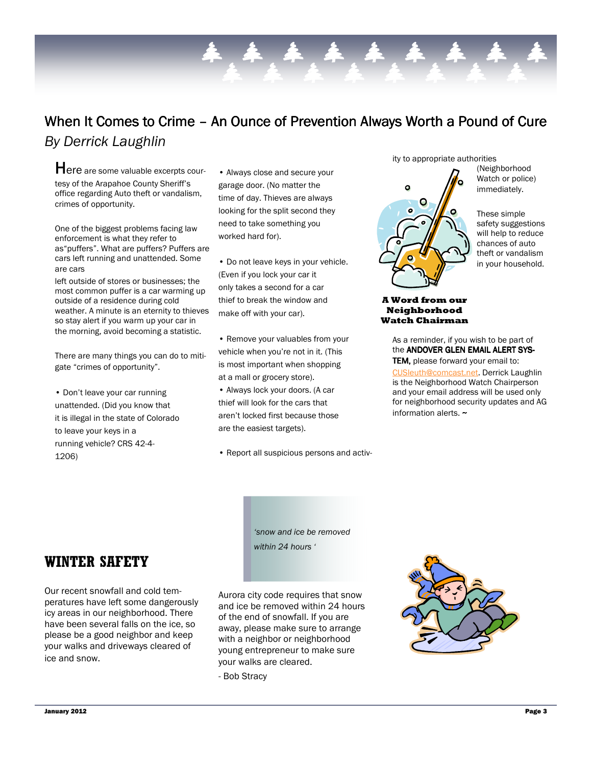# When It Comes to Crime – An Ounce of Prevention Always Worth a Pound of Cure

*By Derrick Laughlin* 

Here are some valuable excerpts courtesy of the Arapahoe County Sheriff's office regarding Auto theft or vandalism, crimes of opportunity.

One of the biggest problems facing law enforcement is what they refer to as"puffers". What are puffers? Puffers are cars left running and unattended. Some are cars

left outside of stores or businesses; the most common puffer is a car warming up outside of a residence during cold weather. A minute is an eternity to thieves so stay alert if you warm up your car in the morning, avoid becoming a statistic.

There are many things you can do to mitigate "crimes of opportunity".

• Don't leave your car running unattended. (Did you know that it is illegal in the state of Colorado to leave your keys in a running vehicle? CRS 42-4- 1206)

• Always close and secure your garage door. (No matter the time of day. Thieves are always looking for the split second they need to take something you worked hard for).

• Do not leave keys in your vehicle. (Even if you lock your car it only takes a second for a car thief to break the window and make off with your car).

• Remove your valuables from your vehicle when you're not in it. (This is most important when shopping at a mall or grocery store).

• Always lock your doors. (A car thief will look for the cars that aren't locked first because those are the easiest targets).

• Report all suspicious persons and activ-

ity to appropriate authorities



(Neighborhood Watch or police) immediately.

These simple safety suggestions will help to reduce chances of auto theft or vandalism in your household.

### **A Word from our Neighborhood Watch Chairman**

As a reminder, if you wish to be part of the ANDOVER GLEN EMAIL ALERT SYS-TEM, please forward your email to: CUSleuth@comcast.net. Derrick Laughlin is the Neighborhood Watch Chairperson and your email address will be used only for neighborhood security updates and AG information alerts. $\sim$ 

*'snow and ice be removed within 24 hours '*

Aurora city code requires that snow and ice be removed within 24 hours of the end of snowfall. If you are away, please make sure to arrange with a neighbor or neighborhood young entrepreneur to make sure your walks are cleared.

- Bob Stracy



**WINTER SAFETY** 

icy areas in our neighborhood. There have been several falls on the ice, so please be a good neighbor and keep your walks and driveways cleared of ice and snow.

Our recent snowfall and cold temperatures have left some dangerously